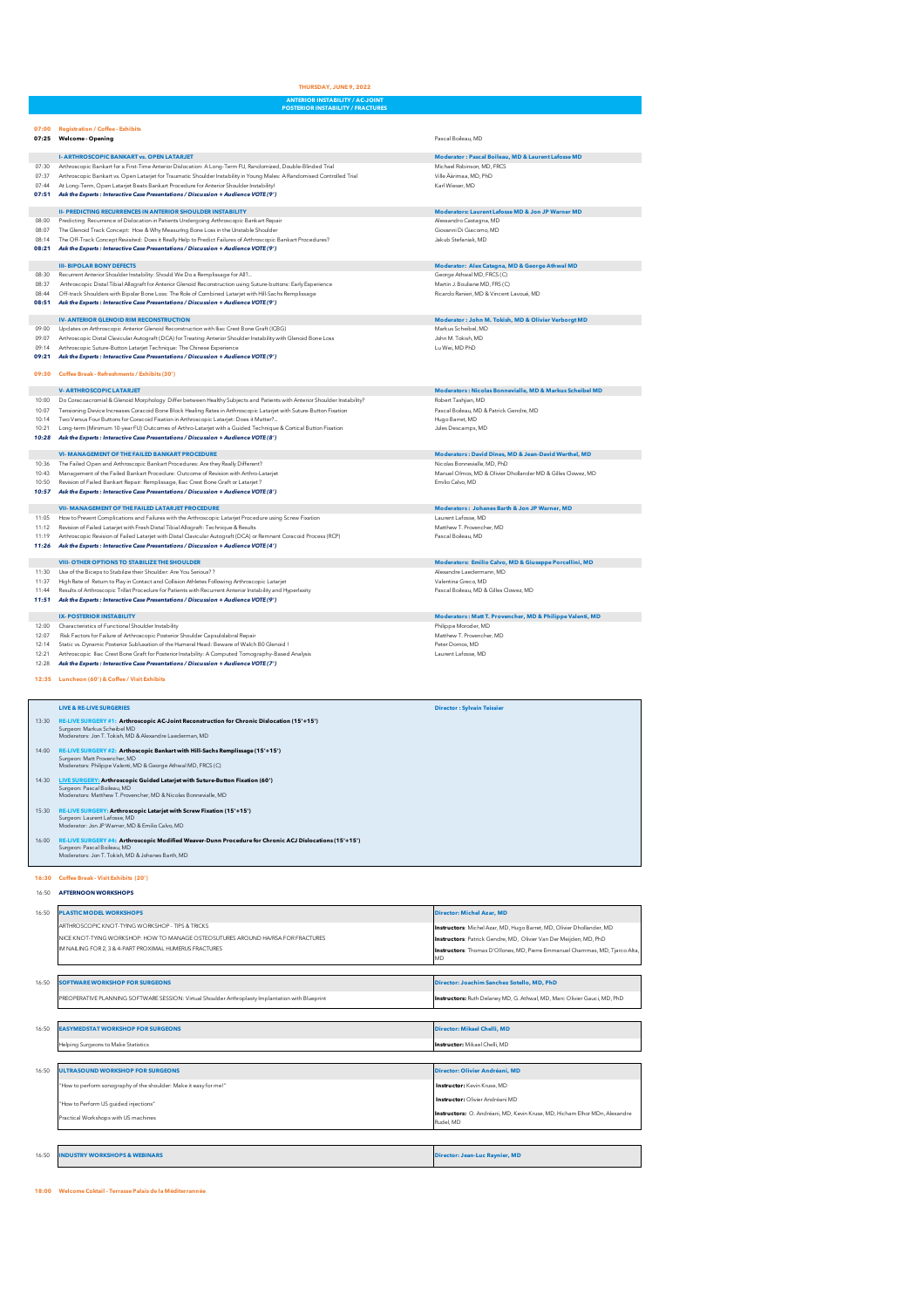**ANTERIOR INSTABILITY / AC-JOINT**

|                | <b>OR INSTABILITY / FRACTI</b>                                                                                                                                                                                                                |                                                                                           |
|----------------|-----------------------------------------------------------------------------------------------------------------------------------------------------------------------------------------------------------------------------------------------|-------------------------------------------------------------------------------------------|
| 07:00          | <b>Registration / Coffee - Exhibits</b><br>07:25 Welcome - Opening                                                                                                                                                                            | Pascal Boileau, MD                                                                        |
|                | <b>I- ARTHROSCOPIC BANKART vs. OPEN LATARJET</b>                                                                                                                                                                                              | Moderator : Pascal Boileau, MD & Laurent Lafosse MD                                       |
| 07:30          | Arthroscopic Bankart for a First-Time Anterior Dislocation: A Long-Term FU, Randomized, Double-Blinded Trial                                                                                                                                  | Michael Robinson, MD, FRCS                                                                |
| 07:37<br>07:44 | Arthroscopic Bankart vs. Open Latarjet for Traumatic Shoulder Instability in Young Males: A Randomised Controlled Trial<br>At Long-Term, Open Latarjet Beats Bankart Procedure for Anterior Shoulder Instability!                             | Ville Äärimaa, MD, PhD<br>Karl Wieser, MD                                                 |
| 07:51          | Ask the Experts : Interactive Case Presentations / Discussion + Audience VOTE (9')                                                                                                                                                            |                                                                                           |
|                | <b>II- PREDICTING RECURRENCES IN ANTERIOR SHOULDER INSTABILITY</b>                                                                                                                                                                            | Moderators: Laurent Lafosse MD & Jon JP Warner MD                                         |
| 08:00<br>08:07 | Predicting Recurrence of Dislocation in Patients Undergoing Arthroscopic Bankart Repair<br>The Glenoid Track Concept: How & Why Measuring Bone Loss in the Unstable Shoulder                                                                  | Alessandro Castagna, MD<br>Giovanni Di Giacomo, MD                                        |
| 08:14          | The Off-Track Concept Revisited: Does it Really Help to Predict Failures of Arthroscopic Bankart Procedures?                                                                                                                                  | Jakub Stefaniak. MD                                                                       |
|                | 08:21 Ask the Experts : Interactive Case Presentations / Discussion + Audience VOTE (9')                                                                                                                                                      |                                                                                           |
| 08:30          | <b>III- BIPOLAR BONY DEFECTS</b><br>Recurrent Anterior Shoulder Instability: Should We Do a Remplissage for All?                                                                                                                              | Moderator: Alex Catagna, MD & George Athwal MD<br>George Athwal MD, FRCS (C)              |
| 08:37          | Arthroscopic Distal Tibial Allograft for Anterior Glenoid Reconstruction using Suture-buttons: Early Experience<br>Off-track Shoulders with Binolar Bone Loss: The Role of Combined Latariet with Hill-Sachs Remolissage                      | Martin J. Bouliane MD, FRS (C)                                                            |
| 08:44<br>08:51 | Ask the Experts : Interactive Case Presentations / Discussion + Audience VOTE (9')                                                                                                                                                            | Ricardo Ranieri, MD & Vincent Lavoué, MD                                                  |
|                | <b>IV-ANTERIOR GLENOID RIM RECONSTRUCTION</b>                                                                                                                                                                                                 | Moderator: John M. Tokish, MD & Olivier Verborgt MD                                       |
| 09:00          | Updates on Arthroscopic Anterior Glenoid Reconstruction with Iliac Crest Bone Graft (ICBG)                                                                                                                                                    | Markus Scheibel MD<br>John M. Tokish, MD                                                  |
| 09:07<br>09:14 | Arthroscopic Distal Clavicular Autograft (DCA) for Treating Anterior Shoulder Instability with Glenoid Bone Loss<br>Arthroscopic Suture-Button Latarjet Technique: The Chinese Experience                                                     | Lu Wei. MD PhD                                                                            |
| 09:21          | Ask the Experts : Interactive Case Presentations / Discussion + Audience VOTE (9')                                                                                                                                                            |                                                                                           |
| 09:30          | Coffee Break - Refreshments / Exhibits (30')                                                                                                                                                                                                  |                                                                                           |
|                | <b>V-ARTHROSCOPIC LATARJET</b>                                                                                                                                                                                                                | Moderators : Nicolas Bonnevialle, MD & Markus Scheibel MD                                 |
| 10:00<br>10:07 | Do Coracoacromial & Glenoid Morphology Differ between Healthy Subjects and Patients with Anterior Shoulder Instability?<br>Tensioning Device Increases Coracoid Bone Block Healing Rates in Arthroscopic Latarjet with Suture-Button Fixation | Robert Tashjian, MD<br>Pascal Boileau MD & Patrick Gendre MD                              |
| 10:14          | Two Versus Four Buttons for Coracoid Fixation in Arthroscopic Latarjet: Does it Matter?                                                                                                                                                       | Hugo Barret, MD                                                                           |
| 10:21<br>10:28 | Long-term (Minimum 10-year FU) Outcomes of Arthro-Latarjet with a Guided Technique & Cortical Button Fixation<br>Ask the Experts : Interactive Case Presentations / Discussion + Audience VOTE (8')                                           | Jules Descamps, MD                                                                        |
|                | <b>VI- MANAGEMENT OF THE FAILED BANKART PROCEDURE</b>                                                                                                                                                                                         | Moderators: David Dines, MD & Jean-David Werthel, MD                                      |
| 10:36          | The Failed Open and Arthroscopic Bankart Procedures: Are they Really Different?                                                                                                                                                               | Nicolas Bonnevialle, MD, PhD                                                              |
| 10:43<br>10:50 | Management of the Failed Bankart Procedure: Outcome of Revision with Arthro-Latarjet<br>Revision of Failed Bankart Repair: Remplissage, Iliac Crest Bone Graft or Latarjet ?                                                                  | Manuel Olmos, MD & Olivier Dhollander MD & Gilles Clowez, MD<br>Emilio Calvo, MD          |
|                | 10:57 Ask the Experts : Interactive Case Presentations / Discussion + Audience VOTE (8')                                                                                                                                                      |                                                                                           |
|                | <b>VII- MANAGEMENT OF THE FAILED LATARJET PROCEDURE</b>                                                                                                                                                                                       | Moderators: Johanes Barth & Jon JP Warner, MD                                             |
| 11:05<br>11:12 | How to Prevent Complications and Failures with the Arthroscopic Latarjet Procedure using Screw Fixation<br>Revision of Failed Latarjet with Fresh Distal Tibial Allograft: Technique & Results                                                | Laurent Lafosse. MD<br>Matthew T. Provencher. MD                                          |
| 11:19          | Arthroscopic Revision of Failed Latarjet with Distal Clavicular Autograft (DCA) or Remnant Coracoid Process (RCP)                                                                                                                             | Pascal Boileau, MD                                                                        |
|                | 11:26 Ask the Experts : Interactive Case Presentations / Discussion + Audience VOTE (4')                                                                                                                                                      |                                                                                           |
| 11:30          | <b>VIII- OTHER OPTIONS TO STABILIZE THE SHOULDER</b><br>Use of the Biceps to Stabilize their Shoulder: Are You Serious??                                                                                                                      | Moderators: Emilio Calvo, MD & Giuseppe Porcellini, MD<br>Alexandre Laedermann, MD        |
| 11:37          | High Rate of Return to Play in Contact and Collision Athletes Following Arthroscopic Latarjet                                                                                                                                                 | Valentina Greco, MD                                                                       |
| 11:44<br>11:51 | Results of Arthroscopic Trillat Procedure for Patients with Recurrent Anterior Instability and Hyperlaxity<br>Ask the Experts : Interactive Case Presentations / Discussion + Audience VOTE (9')                                              | Pascal Boileau, MD & Gilles Clowez, MD                                                    |
|                | <b>IX- POSTERIOR INSTABILITY</b>                                                                                                                                                                                                              | Moderators: Matt T. Provencher, MD & Philippe Valenti, MD                                 |
| 12:00          | Characteristics of Functional Shoulder Instability                                                                                                                                                                                            | Philippe Moroder, MD                                                                      |
| 12:07<br>12:14 | Risk Factors for Failure of Arthroscopic Posterior Shoulder Capsulolabral Repair<br>Static vs. Dynamic Posterior Subluxation of the Humeral Head: Beware of Walch BO Glenoid !                                                                | Matthew T. Provencher, MD<br>Peter Domos, MD                                              |
| 12:21<br>12:28 | Arthroscopic Iliac Crest Bone Graft for Posterior Instability: A Computed Tomography-Based Analysis<br>Ask the Experts : Interactive Case Presentations / Discussion + Audience VOTE (7')                                                     | Laurent Lafosse, MD                                                                       |
|                | 12:35 Luncheon (60') & Coffee / Visit Exhibits                                                                                                                                                                                                |                                                                                           |
|                |                                                                                                                                                                                                                                               |                                                                                           |
|                | <b>LIVE &amp; RE-LIVE SURGERIES</b>                                                                                                                                                                                                           | <b>Director: Sylvain Teissier</b>                                                         |
| 13:30          | RE-LIVE SURGERY #1: Arthroscopic AC-Joint Reconstruction for Chronic Dislocation (15'+15')<br>Surgeon: Markus Scheibel MD                                                                                                                     |                                                                                           |
|                | Moderators: Jon T. Tokish, MD & Alexandre Laederman, MD                                                                                                                                                                                       |                                                                                           |
| 14:00          | RE-LIVE SURGERY #2: Arthoscopic Bankart with Hill-Sachs Remplissage (15'+15')<br>Surgeon: Matt Provencher, MD                                                                                                                                 |                                                                                           |
|                | Moderators: Philippe Valenti, MD & George Athwal MD, FRCS (C)                                                                                                                                                                                 |                                                                                           |
|                | 14:30 LIVE SURGERY: Arthroscopic Guided Latarjet with Suture-Button Fixation (60')<br>Surgeon: Pascal Boileau. MD                                                                                                                             |                                                                                           |
|                | Moderators: Matthew T. Provencher, MD & Nicolas Bonnevialle, MD                                                                                                                                                                               |                                                                                           |
| 15:30          | RE-LIVE SURGERY: Arthroscopic Latarjet with Screw Fixation (15'+15')<br>Surgeon: Laurent Lafosse, MD                                                                                                                                          |                                                                                           |
|                | Moderator: Jon JP Warner, MD & Emilio Calvo, MD                                                                                                                                                                                               |                                                                                           |
| 16:00          | RE-LIVE SURGERY #4: Arthroscopic Modified Weaver-Dunn Procedure for Chronic ACJ Dislocations (15'+15')<br>Surgeon: Pascal Boileau, MD                                                                                                         |                                                                                           |
|                | Moderators: Jon T. Tokish, MD & Johanes Barth, MD                                                                                                                                                                                             |                                                                                           |
| 16:30          | Coffee Break - Visit Exhibits (20')                                                                                                                                                                                                           |                                                                                           |
| 16:50          | <b>AFTERNOON WORKSHOPS</b>                                                                                                                                                                                                                    |                                                                                           |
| 16:50          | <b>PLASTIC MODEL WORKSHOPS</b>                                                                                                                                                                                                                | Director: Michel Azar, MD                                                                 |
|                | ARTHROSCOPIC KNOT-TYING WORKSHOP - TIPS & TRICKS                                                                                                                                                                                              | Instructors: Michel Azar, MD, Hugo Barret, MD, Olivier Dhollander, MD                     |
|                | NICE KNOT-TYING WORKSHOP: HOW TO MANAGE OSTEOSUTURES AROUND HA/RSA FOR FRACTURES                                                                                                                                                              | Instructors: Patrick Gendre, MD, Olivier Van Der Meijden, MD, PhD                         |
|                | IM NAILING FOR 2.3 & 4-PART PROXIMAL HUMERUS FRACTURES                                                                                                                                                                                        | Instructors: Thomas D'Ollones, MD, Pierre Emmanuel Chammas, MD, Tjarco Alta,<br><b>MD</b> |
|                |                                                                                                                                                                                                                                               |                                                                                           |
| 16:50          | <b>SOFTWARE WORKSHOP FOR SURGEONS</b>                                                                                                                                                                                                         | Director: Joachim Sanchez Sotello, MD, PhD                                                |
|                | PREOPERATIVE PLANNING SOFTWARE SESSION: Virtual Shoulder Arthroplasty Implantation with Blueprint                                                                                                                                             | Instructors: Ruth Delaney MD, G. Athwal, MD, Marc Olivier Gauci, MD, PhD                  |
|                |                                                                                                                                                                                                                                               |                                                                                           |
| 16:50          | <b>EASYMEDSTAT WORKSHOP FOR SURGEONS</b>                                                                                                                                                                                                      | Director: Mikael Chelli, MD                                                               |
|                | Helping Surgeons to Make Statistics                                                                                                                                                                                                           | Instructor: Mikael Chelli, MD                                                             |
|                |                                                                                                                                                                                                                                               |                                                                                           |
| 16:50          | <b>ULTRASOUND WORKSHOP FOR SURGEONS</b>                                                                                                                                                                                                       | Director: Olivier Andréani, MD                                                            |
|                | "How to perform sonography of the shoulder: Make it easy for me!"                                                                                                                                                                             | Instructor: Kevin Kruse, MD                                                               |
|                | 'How to Perform US guided injections"                                                                                                                                                                                                         | <b>Instructor: Olivier Andréani MD</b>                                                    |
|                | Practical Workshops with US machines                                                                                                                                                                                                          | Instructors: O. Andréani, MD, Kevin Kruse, MD, Hicham Elhor MDn, Alexandre<br>tudel, MD   |
|                |                                                                                                                                                                                                                                               |                                                                                           |

|  | 16:50 INDUSTRY WORKSHOPS & WEBINARS | <b>Director: Jean-Luc Raynier, MD</b> |
|--|-------------------------------------|---------------------------------------|
|--|-------------------------------------|---------------------------------------|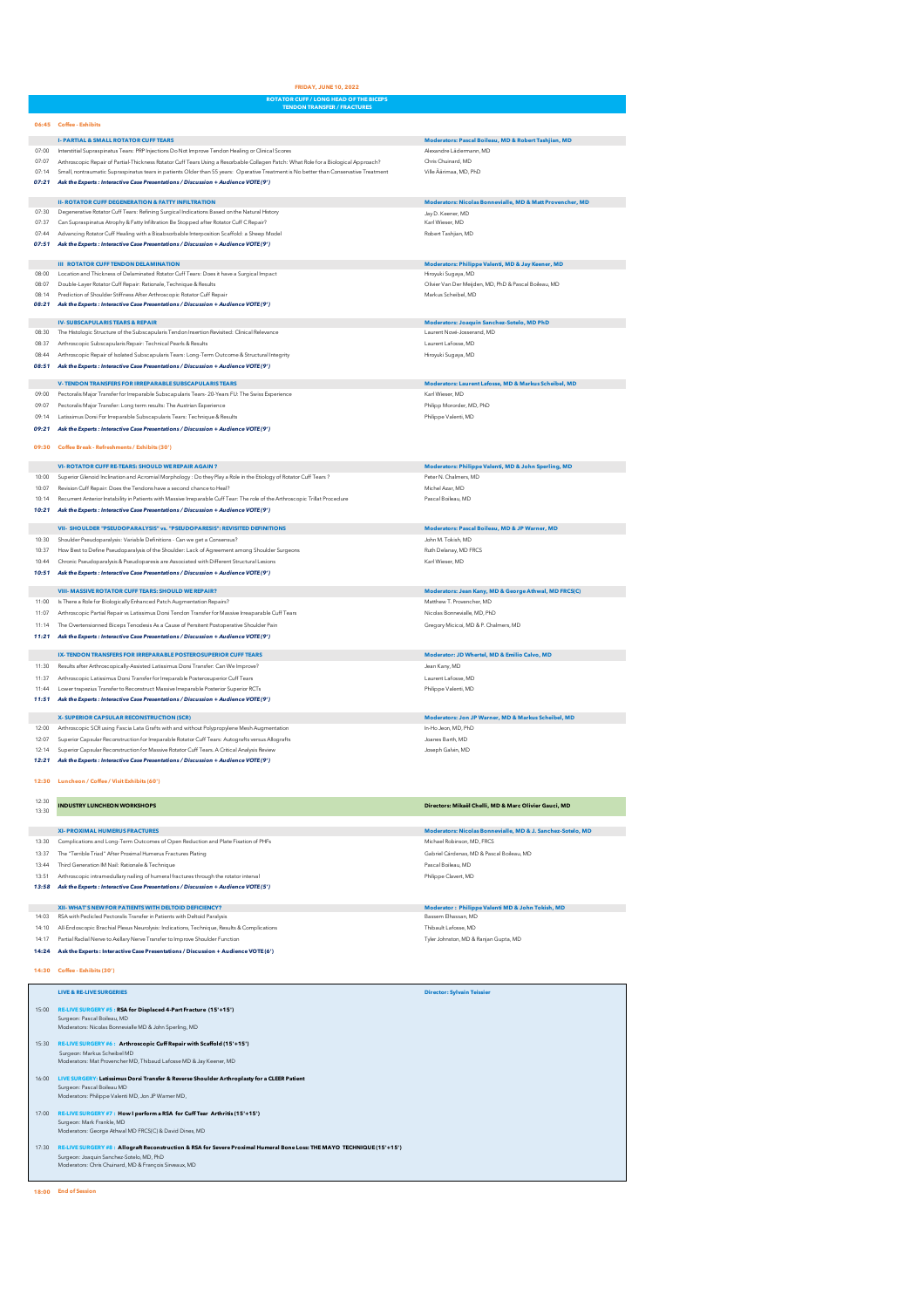**ROTATOR CUFF / LONG HEAD OF THE BICEPS**

|                | 06:45 Coffee - Exhibits                                                                                                                                                                                                                                                      |                                                                            |
|----------------|------------------------------------------------------------------------------------------------------------------------------------------------------------------------------------------------------------------------------------------------------------------------------|----------------------------------------------------------------------------|
|                | <b>I-PARTIAL &amp; SMALL ROTATOR CUFF TEARS</b>                                                                                                                                                                                                                              | Moderators: Pascal Boileau, MD & Robert Tashjian, MD                       |
| 07:00          | Interstitial Supraspinatus Tears: PRP Injections Do Not Improve Tendon Healing or Clinical Scores                                                                                                                                                                            | Alexandre Lädermann, MD                                                    |
| 07:07<br>07:14 | Arthroscopic Repair of Partial-Thickness Rotator Cuff Tears Using a Resorbable Collagen Patch: What Role for a Biological Approach?<br>Small, nontraumatic Supraspinatus tears in patients Older than 55 years: Operative Treatment is No better than Conservative Treatment | Chris Chuinard, MD<br>Ville Äärimaa, MD, PhD                               |
| 07:21          | Ask the Experts : Interactive Case Presentations / Discussion + Audience VOTE (9')                                                                                                                                                                                           |                                                                            |
|                |                                                                                                                                                                                                                                                                              |                                                                            |
|                | <b>II- ROTATOR CUFF DEGENERATION &amp; FATTY INFILTRATION</b>                                                                                                                                                                                                                | Moderators: Nicolas Bonnevialle, MD & Matt Provencher, MD                  |
| 07:30<br>07:37 | Degenerative Rotator Cuff Tears: Refining Surgical Indications Based on the Natural History<br>Can Supraspinatus Atrophy & Fatty Infiltration Be Stopped after Rotator Cuff C Repair?                                                                                        | Jav D. Keener, MD<br>Karl Wieser, MD                                       |
| 07:44          | Advancing Rotator Cuff Healing with a Bioabsorbable Interposition Scaffold: a Sheep Model                                                                                                                                                                                    | Robert Tashjian, MD                                                        |
|                | 07:51 Ask the Experts : Interactive Case Presentations / Discussion + Audience VOTE (9')                                                                                                                                                                                     |                                                                            |
|                |                                                                                                                                                                                                                                                                              |                                                                            |
| 08:00          | <b>III ROTATOR CUFF TENDON DELAMINATION</b><br>Location and Thickness of Delaminated Rotator Cuff Tears: Does it have a Surgical Impact                                                                                                                                      | Moderators: Philippe Valenti, MD & Jay Keener, MD<br>Hirovuki Sugava, MD   |
| 08:07          | Double-Layer Rotator Cuff Repair: Rationale, Technique & Results                                                                                                                                                                                                             | Olivier Van Der Meijden, MD, PhD & Pascal Boileau, MD                      |
|                | 08:14 Prediction of Shoulder Stiffness After Arthroscopic Rotator Cuff Repair                                                                                                                                                                                                | Markus Scheibel, MD                                                        |
|                | 08:21 Ask the Experts : Interactive Case Presentations / Discussion + Audience VOTE (9')                                                                                                                                                                                     |                                                                            |
|                | <b>IV-SUBSCAPULARIS TEARS &amp; REPAIR</b>                                                                                                                                                                                                                                   | Moderators: Joaquin Sanchez-Sotelo, MD PhD                                 |
| 08:30          | The Histologic Structure of the Subscapularis Tendon Insertion Revisited: Clinical Relevance                                                                                                                                                                                 | Laurent Nové-Josserand, MD                                                 |
| 08:37          | Arthroscopic Subscapularis Repair: Technical Pearls & Results                                                                                                                                                                                                                | Laurent Lafosse, MD                                                        |
| 08:44<br>08:51 | Arthroscopic Repair of Isolated Subscapularis Tears: Long-Term Outcome & Structural Integrity<br>Ask the Experts : Interactive Case Presentations / Discussion + Audience VOTE (9')                                                                                          | Hiroyuki Sugaya, MD                                                        |
|                |                                                                                                                                                                                                                                                                              |                                                                            |
|                | V-TENDON TRANSFERS FOR IRREPARABLE SUBSCAPULARIS TEARS                                                                                                                                                                                                                       | Moderators: Laurent Lafosse, MD & Markus Scheibel, MD                      |
| 09:00          | Pectoralis Major Transfer for Irreparable Subscapularis Tears-20-Years FU: The Swiss Experience                                                                                                                                                                              | Karl Wieser, MD                                                            |
| 09:07          | Pectoralis Major Transfer: Long term results: The Austrian Experience                                                                                                                                                                                                        | Philipp Mororder, MD, PhD                                                  |
| 09:14<br>09:21 | Latissimus Dorsi For Irreparable Subscapularis Tears: Technique & Results<br>Ask the Experts : Interactive Case Presentations / Discussion + Audience VOTE (9')                                                                                                              | Philippe Valenti, MD                                                       |
|                |                                                                                                                                                                                                                                                                              |                                                                            |
| 09:30          | Coffee Break - Refreshments / Exhibits (30')                                                                                                                                                                                                                                 |                                                                            |
|                | <b>VI- ROTATOR CUFF RE-TEARS: SHOULD WE REPAIR AGAIN?</b>                                                                                                                                                                                                                    | Moderators: Philippe Valenti, MD & John Sperling, MD                       |
| 10:00          | Superior Glenoid Inclination and Acromial Morphology : Do they Play a Role in the Etiology of Rotator Cuff Tears ?                                                                                                                                                           | Peter N. Chalmers, MD                                                      |
| 10:07          | Revision Cuff Repair: Does the Tendons have a second chance to Heal?                                                                                                                                                                                                         | Michel Azar, MD                                                            |
| 10:14          | Recurrent Anterior Instability in Patients with Massive Irreparable Cuff Tear: The role of the Arthroscopic Trillat Procedure                                                                                                                                                | Pascal Boileau, MD                                                         |
|                | 10:21 Ask the Experts : Interactive Case Presentations / Discussion + Audience VOTE (9')                                                                                                                                                                                     |                                                                            |
|                | VII- SHOULDER "PSEUDOPARALYSIS" vs. "PSEUDOPARESIS": REVISITED DEFINITIONS                                                                                                                                                                                                   | Moderators: Pascal Boileau, MD & JP Warner, MD                             |
| 10:30          | Shoulder Pseudoparalysis: Variable Definitions - Can we get a Consensus?                                                                                                                                                                                                     | John M. Tokish, MD                                                         |
| 10:37          | How Best to Define Pseudoparalysis of the Shoulder: Lack of Agreement among Shoulder Surgeons                                                                                                                                                                                | Ruth Delanay, MD FRCS                                                      |
| 10:44<br>10:51 | Chronic Pseudoparalysis & Pseudoparesis are Associated with Different Structural Lesions                                                                                                                                                                                     | Karl Wieser, MD                                                            |
|                | Ask the Experts : Interactive Case Presentations / Discussion + Audience VOTE (9')                                                                                                                                                                                           |                                                                            |
|                | <b>VIII- MASSIVE ROTATOR CUFF TEARS: SHOULD WE REPAIR?</b>                                                                                                                                                                                                                   | Moderators: Jean Kany, MD & George Athwal, MD FRCS(C)                      |
| 11:00          | Is There a Role for Biologically Enhanced Patch Augmentation Repairs?                                                                                                                                                                                                        | Matthew T. Provencher. MD                                                  |
| 11:07          | Arthroscopic Partial Repair vs Latissimus Dorsi Tendon Transfer for Massive Irreaparable Cuff Tears                                                                                                                                                                          | Nicolas Bonnevialle, MD, PhD                                               |
| 11:14          | The Overtensionned Biceps Tenodesis As a Cause of Persitent Postoperative Shoulder Pain<br>11:21 Ask the Experts : Interactive Case Presentations / Discussion + Audience VOTE (9')                                                                                          | Gregory Micicoi, MD & P. Chalmers, MD                                      |
|                |                                                                                                                                                                                                                                                                              |                                                                            |
|                | IX- TENDON TRANSFERS FOR IRREPARABLE POSTEROSUPERIOR CUFF TEARS                                                                                                                                                                                                              | Moderator: JD Whertel, MD & Emilio Calvo, MD                               |
| 11:30          | Results after Arthroscopically-Assisted Latissimus Dorsi Transfer: Can We Improve?                                                                                                                                                                                           | Jean Kany, MD                                                              |
| 11:37          | Arthroscopic Latissimus Dorsi Transfer for Irreparable Posterosuperior Cuff Tears                                                                                                                                                                                            | Laurent Lafosse, MD                                                        |
| 11:44<br>11:51 | Lower trapezius Transfer to Reconstruct Massive Irreparable Posterior Superior RCTs<br>Ask the Experts : Interactive Case Presentations / Discussion + Audience VOTE (9')                                                                                                    | Philippe Valenti, MD                                                       |
|                |                                                                                                                                                                                                                                                                              |                                                                            |
| 12:00          | X-SUPERIOR CAPSULAR RECONSTRUCTION (SCR)                                                                                                                                                                                                                                     | Moderators: Jon JP Warner, MD & Markus Scheibel, MD<br>In-Ho Jeon, MD, PhD |
| 12:07          | Arthroscopic SCR using Fascia Lata Grafts with and without Polypropylene Mesh Augmentation<br>Superior Capsular Reconstruction for Irreparable Rotator Cuff Tears: Autografts versus Allografts                                                                              | Joanes Barth, MD                                                           |
| 12:14          | Superior Capsular Reconstruction for Massive Rotator Cuff Tears. A Critical Analysis Review                                                                                                                                                                                  | Joseph Galvin, MD                                                          |
| 12:21          | Ask the Experts : Interactive Case Presentations / Discussion + Audience VOTE (9')                                                                                                                                                                                           |                                                                            |
|                |                                                                                                                                                                                                                                                                              |                                                                            |
| 12:30          | Luncheon / Coffee / Visit Exhibits (60')                                                                                                                                                                                                                                     |                                                                            |
|                |                                                                                                                                                                                                                                                                              | Directors: Mikaël Chelli, MD & Marc Olivier Gauci, MD                      |
| 13:30          | <b>INDUSTRY LUNCHEON WORKSHOPS</b>                                                                                                                                                                                                                                           |                                                                            |
|                | <b>XI- PROXIMAL HUMERUS FRACTURES</b>                                                                                                                                                                                                                                        | Moderators: Nicolas Bonnevialle, MD & J. Sanchez-Sotelo, MD                |
| 13:30          | Complications and Long-Term Outcomes of Open Reduction and Plate Fixation of PHFs                                                                                                                                                                                            | Michael Robinson, MD, FRCS                                                 |
| 13:37          | The "Terrible Triad" After Proximal Humerus Fractures Plating                                                                                                                                                                                                                | Gabriel Cárdenas, MD & Pascal Boileau, MD                                  |
| 13:44          | Third Generation IM Nail: Rationale & Technique                                                                                                                                                                                                                              | Pascal Boileau, MD                                                         |
| 13:51          | Arthroscopic intramedullary nailing of humeral fractures through the rotator interval                                                                                                                                                                                        | Philippe Clavert, MD                                                       |
|                | 13:58 Ask the Experts : Interactive Case Presentations / Discussion + Audience VOTE (5')                                                                                                                                                                                     |                                                                            |
|                | XII- WHAT'S NEW FOR PATIENTS WITH DELTOID DEFICIENCY?                                                                                                                                                                                                                        | Moderator: Philippe Valenti MD & John Tokish, MD                           |
| 14:03          | RSA with Pedicled Pectoralis Transfer in Patients with Deltoid Paralysis                                                                                                                                                                                                     | Bassem Elhassan, MD                                                        |
| 14:10          | All-Endoscopic Brachial Plexus Neurolysis: Indications, Technique, Results & Complications                                                                                                                                                                                   | Thibault Lafosse, MD                                                       |
| 14:17          | Partial Radial Nerve to Axillary Nerve Transfer to Improve Shoulder Function                                                                                                                                                                                                 | Tyler Johnston, MD & Ranjan Gupta, MD                                      |
| 14:24          | Ask the Experts : Interactive Case Presentations / Discussion + Audience VOTE (6')                                                                                                                                                                                           |                                                                            |
|                | 14:30 Coffee - Exhibits (30')                                                                                                                                                                                                                                                |                                                                            |
|                |                                                                                                                                                                                                                                                                              |                                                                            |
|                | <b>LIVE &amp; RE-LIVE SURGERIES</b>                                                                                                                                                                                                                                          | <b>Director: Sylvain Teissier</b>                                          |
| 15:00          | RE-LIVE SURGERY #5 : RSA for Displaced 4-Part Fracture (15'+15')                                                                                                                                                                                                             |                                                                            |
|                | Surgeon: Pascal Boileau, MD                                                                                                                                                                                                                                                  |                                                                            |
|                | Moderators: Nicolas Bonnevialle MD & John Sperling, MD                                                                                                                                                                                                                       |                                                                            |
|                | 15:30 RE-LIVE SURGERY #6 : Arthroscopic Cuff Repair with Scaffold (15'+15')                                                                                                                                                                                                  |                                                                            |
|                | Surgeon: Markus Scheibel MD<br>Moderators: Mat Provencher MD, Thibaud Lafosse MD & Jay Keener, MD                                                                                                                                                                            |                                                                            |
|                |                                                                                                                                                                                                                                                                              |                                                                            |
|                | 16:00 LIVE SURGERY: Latissimus Dorsi Transfer & Reverse Shoulder Arthroplasty for a CLEER Patient<br>Surgeon: Pascal Boileau MD                                                                                                                                              |                                                                            |
|                | Moderators: Philippe Valenti MD, Jon JP Warner MD,                                                                                                                                                                                                                           |                                                                            |
|                | 17:00 RE-LIVE SURGERY #7: How I perform a RSA for Cuff Tear Arthritis (15'+15')                                                                                                                                                                                              |                                                                            |
|                | Surgeon: Mark Frankle, MD                                                                                                                                                                                                                                                    |                                                                            |
|                | Moderators: George Athwal MD FRCS(C) & David Dines, MD                                                                                                                                                                                                                       |                                                                            |
|                | 17:30 RE-LIVE SURGERY #8: Allograft Reconstruction & RSA for Severe Proximal Humeral Bone Loss: THE MAYO TECHNIQUE (15'+15')                                                                                                                                                 |                                                                            |
|                | Surgeon: Joaquin Sanchez-Sotelo, MD, PhD<br>Moderators: Chris Chuinard, MD & François Sirveaux, MD                                                                                                                                                                           |                                                                            |